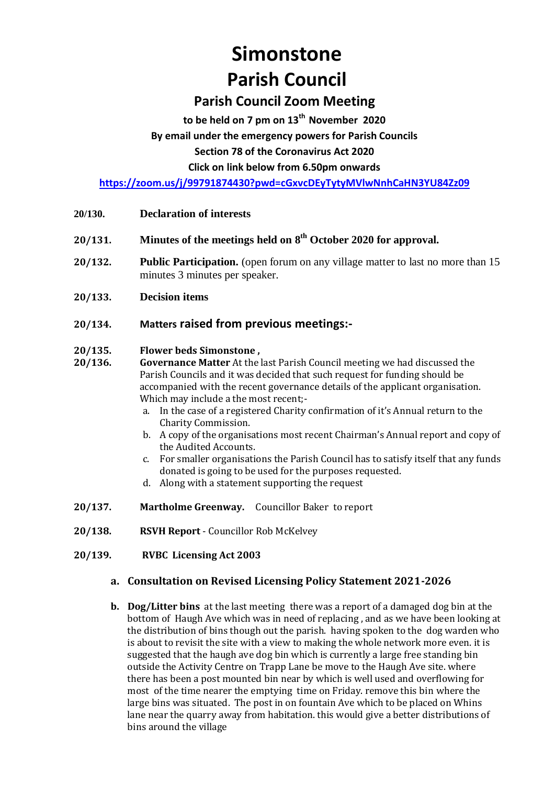# **Simonstone Parish Council**

# **Parish Council Zoom Meeting**

**to be held on 7 pm on 13th November 2020**

#### **By email under the emergency powers for Parish Councils**

**Section 78 of the Coronavirus Act 2020** 

**Click on link below from 6.50pm onwards** 

**<https://zoom.us/j/99791874430?pwd=cGxvcDEyTytyMVlwNnhCaHN3YU84Zz09>**

- **20/130. Declaration of interests**
- **20/131. Minutes of the meetings held on 8 th October 2020 for approval.**
- **20/132. Public Participation.** (open forum on any village matter to last no more than 15 minutes 3 minutes per speaker.
- **20/133. Decision items**

### **20/134. Matters raised from previous meetings:-**

#### **20/135. Flower beds Simonstone ,**

- **20/136. Governance Matter** At the last Parish Council meeting we had discussed the Parish Councils and it was decided that such request for funding should be accompanied with the recent governance details of the applicant organisation. Which may include a the most recent;
	- a. In the case of a registered Charity confirmation of it's Annual return to the Charity Commission.
	- b. A copy of the organisations most recent Chairman's Annual report and copy of the Audited Accounts.
	- c. For smaller organisations the Parish Council has to satisfy itself that any funds donated is going to be used for the purposes requested.
	- d. Along with a statement supporting the request
- **20/137. Martholme Greenway.** Councillor Baker to report
- **20/138. RSVH Report** Councillor Rob McKelvey
- **20/139. RVBC Licensing Act 2003**

# **a. Consultation on Revised Licensing Policy Statement 2021-2026**

**b. Dog/Litter bins** at the last meeting there was a report of a damaged dog bin at the bottom of Haugh Ave which was in need of replacing , and as we have been looking at the distribution of bins though out the parish. having spoken to the dog warden who is about to revisit the site with a view to making the whole network more even. it is suggested that the haugh ave dog bin which is currently a large free standing bin outside the Activity Centre on Trapp Lane be move to the Haugh Ave site. where there has been a post mounted bin near by which is well used and overflowing for most of the time nearer the emptying time on Friday. remove this bin where the large bins was situated. The post in on fountain Ave which to be placed on Whins lane near the quarry away from habitation. this would give a better distributions of bins around the village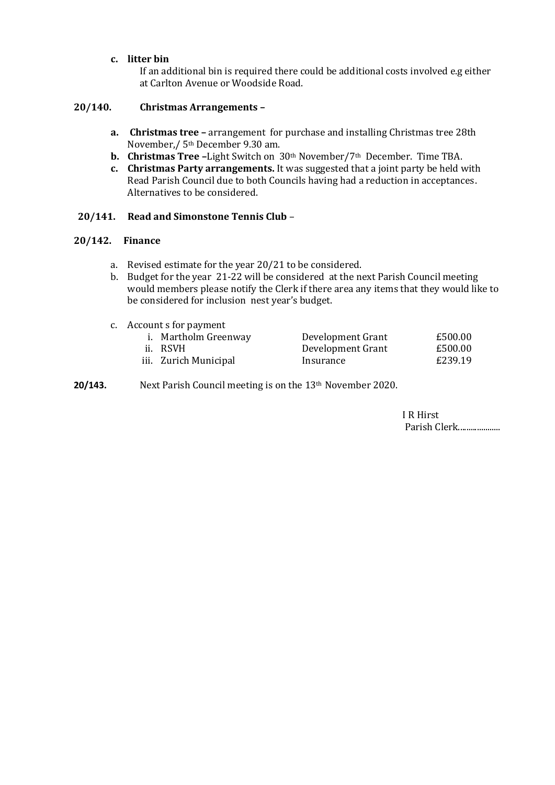#### **c. litter bin**

If an additional bin is required there could be additional costs involved e.g either at Carlton Avenue or Woodside Road.

#### **20/140. Christmas Arrangements –**

- **a. Christmas tree –** arrangement for purchase and installing Christmas tree 28th November,/ 5th December 9.30 am.
- **b. Christmas Tree –**Light Switch on 30th November/7th December. Time TBA.
- **c. Christmas Party arrangements.** It was suggested that a joint party be held with Read Parish Council due to both Councils having had a reduction in acceptances. Alternatives to be considered.

#### **20/141. Read and Simonstone Tennis Club** –

#### **20/142. Finance**

- a. Revised estimate for the year 20/21 to be considered.
- b. Budget for the year 21-22 will be considered at the next Parish Council meeting would members please notify the Clerk if there area any items that they would like to be considered for inclusion nest year's budget.
- c. Account s for payment

| i. Martholm Greenway  | Development Grant | £500.00 |
|-----------------------|-------------------|---------|
| ii. RSVH              | Development Grant | £500.00 |
| iii. Zurich Municipal | Insurance         | £239.19 |

**20/143.** Next Parish Council meeting is on the 13<sup>th</sup> November 2020.

I R Hirst Parish Clerk....................